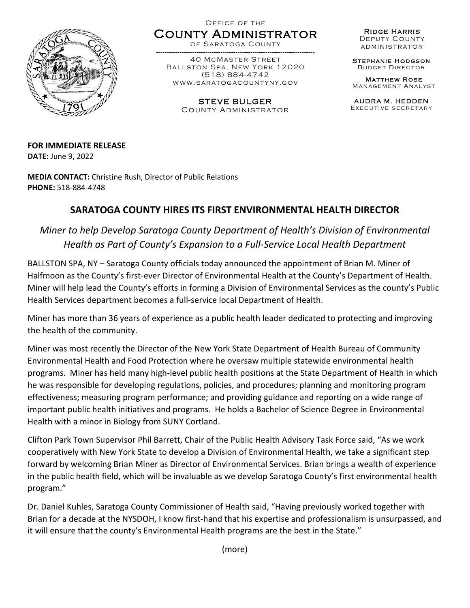

Office of the County Administrator

of Saratoga County

------ ---------------------------- ---------------------------------------- 40 McMaster Street Ballston Spa, New York 12020 (518) 884-4742 www.saratogacountyny.gov

> STEVE BULGER County Administrator

Ridge Harris Deputy County administrator

Stephanie Hodgson Budget Director

Matthew Rose Management Analyst

AUDRA M. HEDDEN Executive secretary

**FOR IMMEDIATE RELEASE DATE:** June 9, 2022

**MEDIA CONTACT:** Christine Rush, Director of Public Relations **PHONE:** 518-884-4748

## **SARATOGA COUNTY HIRES ITS FIRST ENVIRONMENTAL HEALTH DIRECTOR**

*Miner to help Develop Saratoga County Department of Health's Division of Environmental Health as Part of County's Expansion to a Full-Service Local Health Department* 

BALLSTON SPA, NY – Saratoga County officials today announced the appointment of Brian M. Miner of Halfmoon as the County's first-ever Director of Environmental Health at the County's Department of Health. Miner will help lead the County's efforts in forming a Division of Environmental Services as the county's Public Health Services department becomes a full-service local Department of Health.

Miner has more than 36 years of experience as a public health leader dedicated to protecting and improving the health of the community.

Miner was most recently the Director of the New York State Department of Health Bureau of Community Environmental Health and Food Protection where he oversaw multiple statewide environmental health programs. Miner has held many high-level public health positions at the State Department of Health in which he was responsible for developing regulations, policies, and procedures; planning and monitoring program effectiveness; measuring program performance; and providing guidance and reporting on a wide range of important public health initiatives and programs. He holds a Bachelor of Science Degree in Environmental Health with a minor in Biology from SUNY Cortland.

Clifton Park Town Supervisor Phil Barrett, Chair of the Public Health Advisory Task Force said, "As we work cooperatively with New York State to develop a Division of Environmental Health, we take a significant step forward by welcoming Brian Miner as Director of Environmental Services. Brian brings a wealth of experience in the public health field, which will be invaluable as we develop Saratoga County's first environmental health program."

Dr. Daniel Kuhles, Saratoga County Commissioner of Health said, "Having previously worked together with Brian for a decade at the NYSDOH, I know first-hand that his expertise and professionalism is unsurpassed, and it will ensure that the county's Environmental Health programs are the best in the State."

(more)